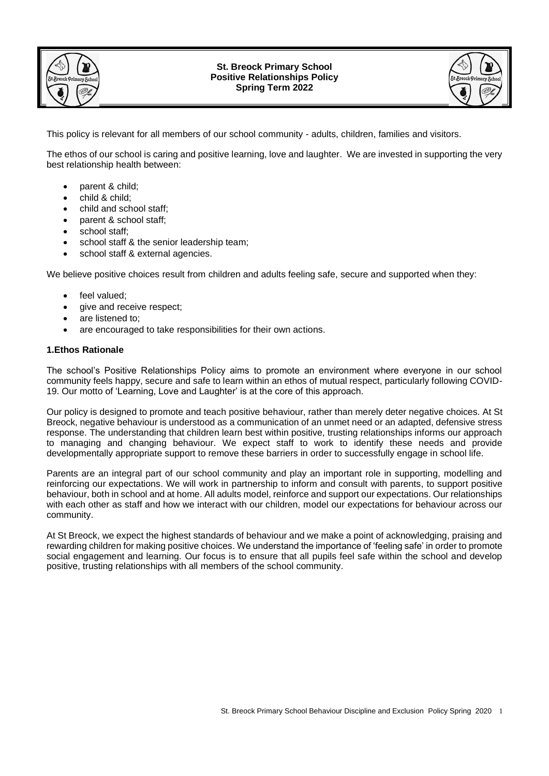

#### **St. Breock Primary School Positive Relationships Policy Spring Term 2022**



This policy is relevant for all members of our school community - adults, children, families and visitors.

The ethos of our school is caring and positive learning, love and laughter. We are invested in supporting the very best relationship health between:

- parent & child:
- child & child;
- child and school staff;
- parent & school staff;
- school staff:
- school staff & the senior leadership team;
- school staff & external agencies.

We believe positive choices result from children and adults feeling safe, secure and supported when they:

- feel valued;
- give and receive respect;
- are listened to:
- are encouraged to take responsibilities for their own actions.

#### **1.Ethos Rationale**

The school's Positive Relationships Policy aims to promote an environment where everyone in our school community feels happy, secure and safe to learn within an ethos of mutual respect, particularly following COVID-19. Our motto of 'Learning, Love and Laughter' is at the core of this approach.

Our policy is designed to promote and teach positive behaviour, rather than merely deter negative choices. At St Breock, negative behaviour is understood as a communication of an unmet need or an adapted, defensive stress response. The understanding that children learn best within positive, trusting relationships informs our approach to managing and changing behaviour. We expect staff to work to identify these needs and provide developmentally appropriate support to remove these barriers in order to successfully engage in school life.

Parents are an integral part of our school community and play an important role in supporting, modelling and reinforcing our expectations. We will work in partnership to inform and consult with parents, to support positive behaviour, both in school and at home. All adults model, reinforce and support our expectations. Our relationships with each other as staff and how we interact with our children, model our expectations for behaviour across our community.

At St Breock, we expect the highest standards of behaviour and we make a point of acknowledging, praising and rewarding children for making positive choices. We understand the importance of 'feeling safe' in order to promote social engagement and learning. Our focus is to ensure that all pupils feel safe within the school and develop positive, trusting relationships with all members of the school community.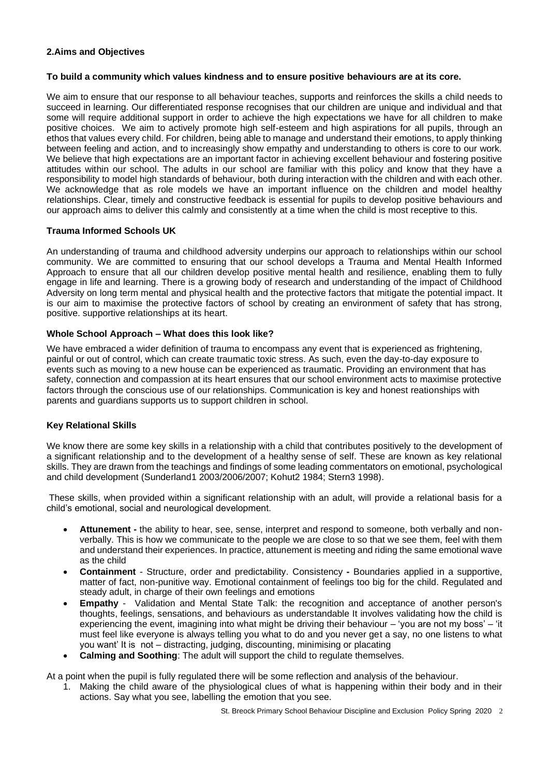## **2.Aims and Objectives**

#### **To build a community which values kindness and to ensure positive behaviours are at its core.**

We aim to ensure that our response to all behaviour teaches, supports and reinforces the skills a child needs to succeed in learning. Our differentiated response recognises that our children are unique and individual and that some will require additional support in order to achieve the high expectations we have for all children to make positive choices. We aim to actively promote high self-esteem and high aspirations for all pupils, through an ethos that values every child. For children, being able to manage and understand their emotions, to apply thinking between feeling and action, and to increasingly show empathy and understanding to others is core to our work. We believe that high expectations are an important factor in achieving excellent behaviour and fostering positive attitudes within our school. The adults in our school are familiar with this policy and know that they have a responsibility to model high standards of behaviour, both during interaction with the children and with each other. We acknowledge that as role models we have an important influence on the children and model healthy relationships. Clear, timely and constructive feedback is essential for pupils to develop positive behaviours and our approach aims to deliver this calmly and consistently at a time when the child is most receptive to this.

## **Trauma Informed Schools UK**

An understanding of trauma and childhood adversity underpins our approach to relationships within our school community. We are committed to ensuring that our school develops a Trauma and Mental Health Informed Approach to ensure that all our children develop positive mental health and resilience, enabling them to fully engage in life and learning. There is a growing body of research and understanding of the impact of Childhood Adversity on long term mental and physical health and the protective factors that mitigate the potential impact. It is our aim to maximise the protective factors of school by creating an environment of safety that has strong, positive. supportive relationships at its heart.

### **Whole School Approach – What does this look like?**

We have embraced a wider definition of trauma to encompass any event that is experienced as frightening. painful or out of control, which can create traumatic toxic stress. As such, even the day-to-day exposure to events such as moving to a new house can be experienced as traumatic. Providing an environment that has safety, connection and compassion at its heart ensures that our school environment acts to maximise protective factors through the conscious use of our relationships. Communication is key and honest reationships with parents and guardians supports us to support children in school.

## **Key Relational Skills**

We know there are some key skills in a relationship with a child that contributes positively to the development of a significant relationship and to the development of a healthy sense of self. These are known as key relational skills. They are drawn from the teachings and findings of some leading commentators on emotional, psychological and child development (Sunderland1 2003/2006/2007; Kohut2 1984; Stern3 1998).

These skills, when provided within a significant relationship with an adult, will provide a relational basis for a child's emotional, social and neurological development.

- **Attunement -** the ability to hear, see, sense, interpret and respond to someone, both verbally and nonverbally. This is how we communicate to the people we are close to so that we see them, feel with them and understand their experiences. In practice, attunement is meeting and riding the same emotional wave as the child
- **Containment** Structure, order and predictability. Consistency **-** Boundaries applied in a supportive, matter of fact, non-punitive way. Emotional containment of feelings too big for the child. Regulated and steady adult, in charge of their own feelings and emotions
- **Empathy** Validation and Mental State Talk: the recognition and acceptance of another person's thoughts, feelings, sensations, and behaviours as understandable It involves validating how the child is experiencing the event, imagining into what might be driving their behaviour – 'you are not my boss' – 'it must feel like everyone is always telling you what to do and you never get a say, no one listens to what you want' It is not – distracting, judging, discounting, minimising or placating
- **Calming and Soothing**: The adult will support the child to regulate themselves.

At a point when the pupil is fully regulated there will be some reflection and analysis of the behaviour.

1. Making the child aware of the physiological clues of what is happening within their body and in their actions. Say what you see, labelling the emotion that you see.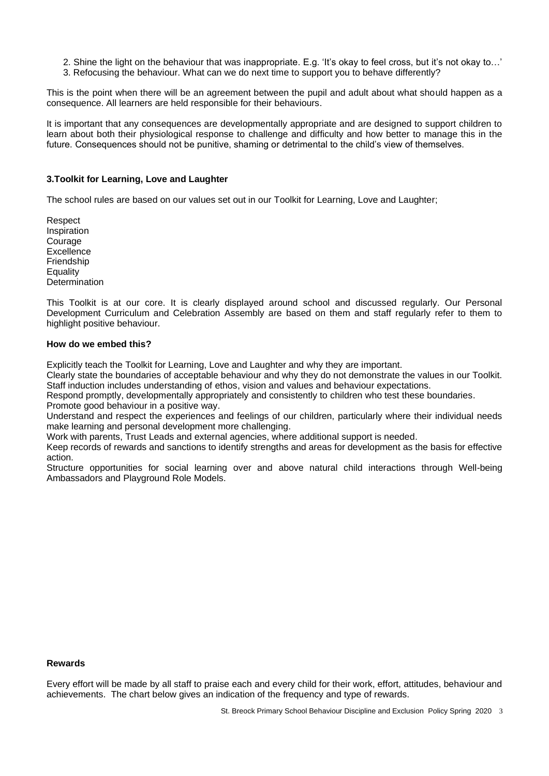- 2. Shine the light on the behaviour that was inappropriate. E.g. 'It's okay to feel cross, but it's not okay to…'
- 3. Refocusing the behaviour. What can we do next time to support you to behave differently?

This is the point when there will be an agreement between the pupil and adult about what should happen as a consequence. All learners are held responsible for their behaviours.

It is important that any consequences are developmentally appropriate and are designed to support children to learn about both their physiological response to challenge and difficulty and how better to manage this in the future. Consequences should not be punitive, shaming or detrimental to the child's view of themselves.

#### **3.Toolkit for Learning, Love and Laughter**

The school rules are based on our values set out in our Toolkit for Learning, Love and Laughter;

Respect Inspiration Courage **Excellence** Friendship **Equality Determination** 

This Toolkit is at our core. It is clearly displayed around school and discussed regularly. Our Personal Development Curriculum and Celebration Assembly are based on them and staff regularly refer to them to highlight positive behaviour.

#### **How do we embed this?**

Explicitly teach the Toolkit for Learning, Love and Laughter and why they are important.

Clearly state the boundaries of acceptable behaviour and why they do not demonstrate the values in our Toolkit. Staff induction includes understanding of ethos, vision and values and behaviour expectations.

Respond promptly, developmentally appropriately and consistently to children who test these boundaries.

Promote good behaviour in a positive way.

Understand and respect the experiences and feelings of our children, particularly where their individual needs make learning and personal development more challenging.

Work with parents, Trust Leads and external agencies, where additional support is needed.

Keep records of rewards and sanctions to identify strengths and areas for development as the basis for effective action.

Structure opportunities for social learning over and above natural child interactions through Well-being Ambassadors and Playground Role Models.

## **Rewards**

Every effort will be made by all staff to praise each and every child for their work, effort, attitudes, behaviour and achievements. The chart below gives an indication of the frequency and type of rewards.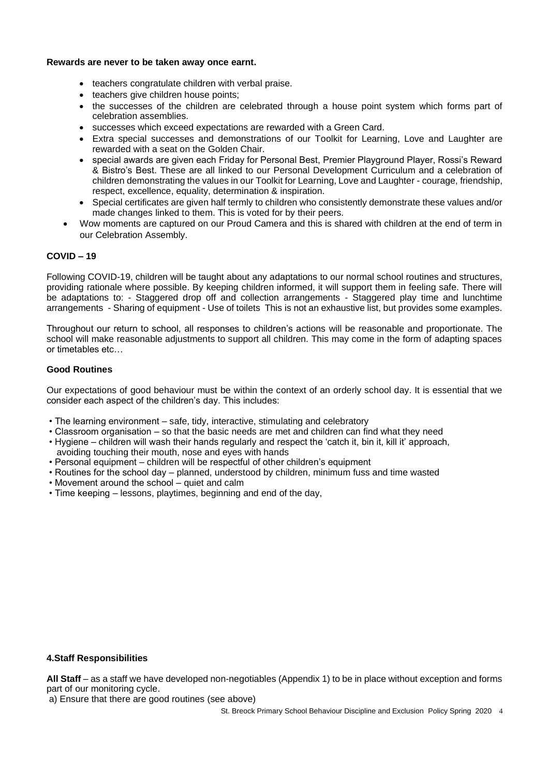#### **Rewards are never to be taken away once earnt.**

- teachers congratulate children with verbal praise.
- teachers give children house points;
- the successes of the children are celebrated through a house point system which forms part of celebration assemblies.
- successes which exceed expectations are rewarded with a Green Card.
- Extra special successes and demonstrations of our Toolkit for Learning, Love and Laughter are rewarded with a seat on the Golden Chair.
- special awards are given each Friday for Personal Best, Premier Playground Player, Rossi's Reward & Bistro's Best. These are all linked to our Personal Development Curriculum and a celebration of children demonstrating the values in our Toolkit for Learning, Love and Laughter - courage, friendship, respect, excellence, equality, determination & inspiration.
- Special certificates are given half termly to children who consistently demonstrate these values and/or made changes linked to them. This is voted for by their peers.
- Wow moments are captured on our Proud Camera and this is shared with children at the end of term in our Celebration Assembly.

### **COVID – 19**

Following COVID-19, children will be taught about any adaptations to our normal school routines and structures, providing rationale where possible. By keeping children informed, it will support them in feeling safe. There will be adaptations to: - Staggered drop off and collection arrangements - Staggered play time and lunchtime arrangements - Sharing of equipment - Use of toilets This is not an exhaustive list, but provides some examples.

Throughout our return to school, all responses to children's actions will be reasonable and proportionate. The school will make reasonable adjustments to support all children. This may come in the form of adapting spaces or timetables etc…

#### **Good Routines**

Our expectations of good behaviour must be within the context of an orderly school day. It is essential that we consider each aspect of the children's day. This includes:

- The learning environment safe, tidy, interactive, stimulating and celebratory
- Classroom organisation so that the basic needs are met and children can find what they need
- Hygiene children will wash their hands regularly and respect the 'catch it, bin it, kill it' approach, avoiding touching their mouth, nose and eyes with hands
- Personal equipment children will be respectful of other children's equipment
- Routines for the school day planned, understood by children, minimum fuss and time wasted
- Movement around the school quiet and calm
- Time keeping lessons, playtimes, beginning and end of the day,

#### **4.Staff Responsibilities**

**All Staff** – as a staff we have developed non-negotiables (Appendix 1) to be in place without exception and forms part of our monitoring cycle.

a) Ensure that there are good routines (see above)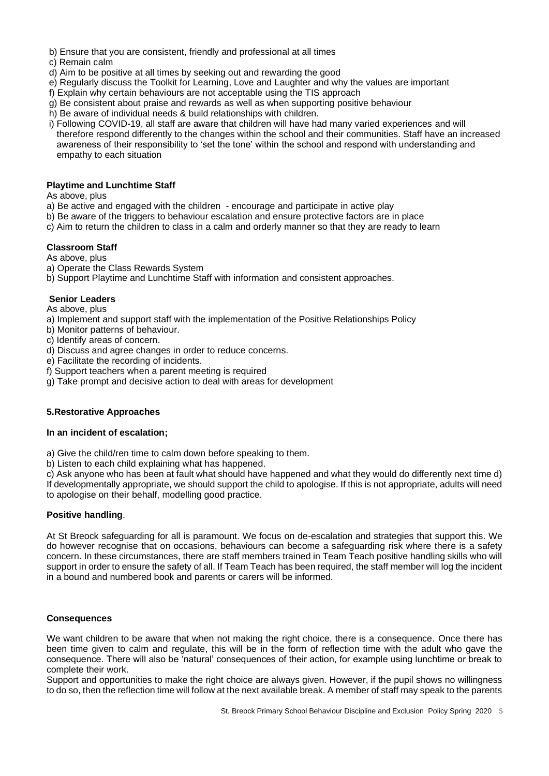- b) Ensure that you are consistent, friendly and professional at all times
- c) Remain calm
- d) Aim to be positive at all times by seeking out and rewarding the good
- e) Regularly discuss the Toolkit for Learning, Love and Laughter and why the values are important
- f) Explain why certain behaviours are not acceptable using the TIS approach
- g) Be consistent about praise and rewards as well as when supporting positive behaviour
- h) Be aware of individual needs & build relationships with children.
- i) Following COVID-19, all staff are aware that children will have had many varied experiences and will therefore respond differently to the changes within the school and their communities. Staff have an increased awareness of their responsibility to 'set the tone' within the school and respond with understanding and empathy to each situation

### **Playtime and Lunchtime Staff**

### As above, plus

- a) Be active and engaged with the children encourage and participate in active play
- b) Be aware of the triggers to behaviour escalation and ensure protective factors are in place
- c) Aim to return the children to class in a calm and orderly manner so that they are ready to learn

## **Classroom Staff**

As above, plus

- a) Operate the Class Rewards System
- b) Support Playtime and Lunchtime Staff with information and consistent approaches.

## **Senior Leaders**

As above, plus

- a) Implement and support staff with the implementation of the Positive Relationships Policy
- b) Monitor patterns of behaviour.
- c) Identify areas of concern.
- d) Discuss and agree changes in order to reduce concerns.
- e) Facilitate the recording of incidents.
- f) Support teachers when a parent meeting is required
- g) Take prompt and decisive action to deal with areas for development

## **5.Restorative Approaches**

#### **In an incident of escalation;**

a) Give the child/ren time to calm down before speaking to them.

b) Listen to each child explaining what has happened.

c) Ask anyone who has been at fault what should have happened and what they would do differently next time d) If developmentally appropriate, we should support the child to apologise. If this is not appropriate, adults will need to apologise on their behalf, modelling good practice.

## **Positive handling**.

At St Breock safeguarding for all is paramount. We focus on de-escalation and strategies that support this. We do however recognise that on occasions, behaviours can become a safeguarding risk where there is a safety concern. In these circumstances, there are staff members trained in Team Teach positive handling skills who will support in order to ensure the safety of all. If Team Teach has been required, the staff member will log the incident in a bound and numbered book and parents or carers will be informed.

#### **Consequences**

We want children to be aware that when not making the right choice, there is a consequence. Once there has been time given to calm and regulate, this will be in the form of reflection time with the adult who gave the consequence. There will also be 'natural' consequences of their action, for example using lunchtime or break to complete their work.

Support and opportunities to make the right choice are always given. However, if the pupil shows no willingness to do so, then the reflection time will follow at the next available break. A member of staff may speak to the parents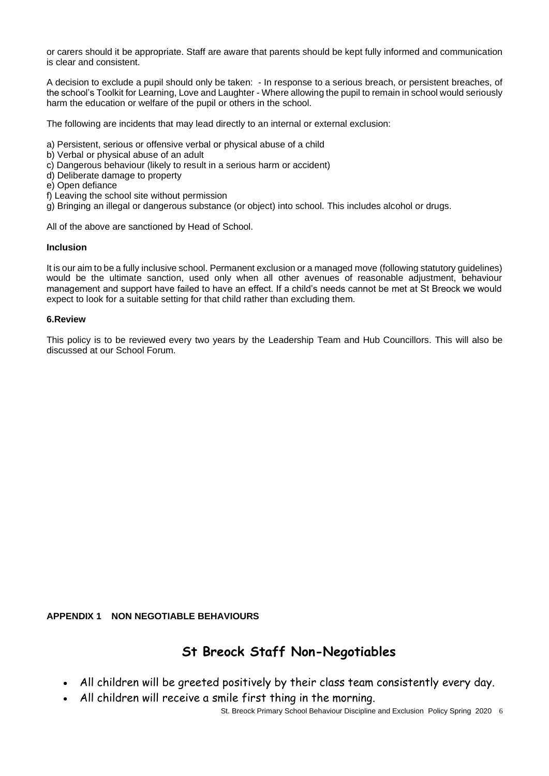or carers should it be appropriate. Staff are aware that parents should be kept fully informed and communication is clear and consistent.

A decision to exclude a pupil should only be taken: - In response to a serious breach, or persistent breaches, of the school's Toolkit for Learning, Love and Laughter - Where allowing the pupil to remain in school would seriously harm the education or welfare of the pupil or others in the school.

The following are incidents that may lead directly to an internal or external exclusion:

- a) Persistent, serious or offensive verbal or physical abuse of a child
- b) Verbal or physical abuse of an adult
- c) Dangerous behaviour (likely to result in a serious harm or accident)
- d) Deliberate damage to property
- e) Open defiance
- f) Leaving the school site without permission

g) Bringing an illegal or dangerous substance (or object) into school. This includes alcohol or drugs.

All of the above are sanctioned by Head of School.

### **Inclusion**

It is our aim to be a fully inclusive school. Permanent exclusion or a managed move (following statutory guidelines) would be the ultimate sanction, used only when all other avenues of reasonable adjustment, behaviour management and support have failed to have an effect. If a child's needs cannot be met at St Breock we would expect to look for a suitable setting for that child rather than excluding them.

#### **6.Review**

This policy is to be reviewed every two years by the Leadership Team and Hub Councillors. This will also be discussed at our School Forum.

**APPENDIX 1 NON NEGOTIABLE BEHAVIOURS**

# **St Breock Staff Non-Negotiables**

- All children will be greeted positively by their class team consistently every day.
- All children will receive a smile first thing in the morning.

St. Breock Primary School Behaviour Discipline and Exclusion Policy Spring 2020 6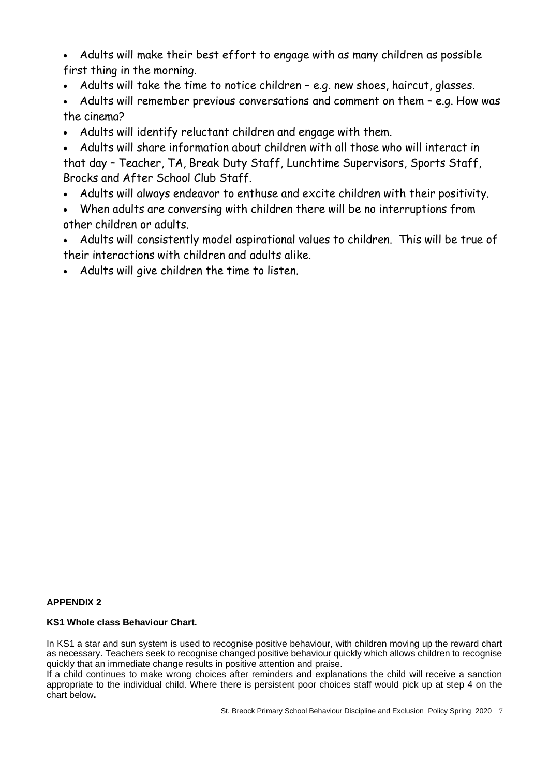• Adults will make their best effort to engage with as many children as possible first thing in the morning.

- Adults will take the time to notice children e.g. new shoes, haircut, glasses.
- Adults will remember previous conversations and comment on them e.g. How was the cinema?
- Adults will identify reluctant children and engage with them.
- Adults will share information about children with all those who will interact in that day – Teacher, TA, Break Duty Staff, Lunchtime Supervisors, Sports Staff, Brocks and After School Club Staff.
- Adults will always endeavor to enthuse and excite children with their positivity.
- When adults are conversing with children there will be no interruptions from other children or adults.
- Adults will consistently model aspirational values to children. This will be true of their interactions with children and adults alike.
- Adults will give children the time to listen.

## **APPENDIX 2**

## **KS1 Whole class Behaviour Chart.**

In KS1 a star and sun system is used to recognise positive behaviour, with children moving up the reward chart as necessary. Teachers seek to recognise changed positive behaviour quickly which allows children to recognise quickly that an immediate change results in positive attention and praise.

If a child continues to make wrong choices after reminders and explanations the child will receive a sanction appropriate to the individual child. Where there is persistent poor choices staff would pick up at step 4 on the chart below**.**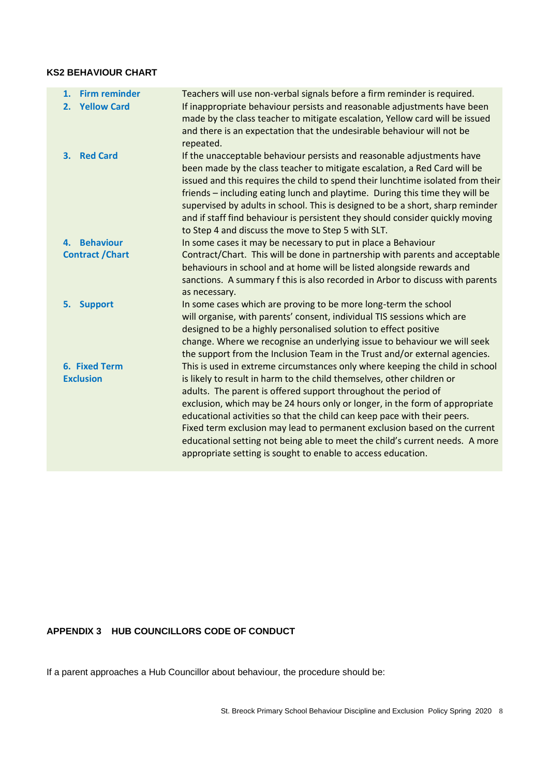## **KS2 BEHAVIOUR CHART**

| 1. | <b>Firm reminder</b>                     | Teachers will use non-verbal signals before a firm reminder is required.                                                                                                                                                                                                                                                                                                                                                                                                                                                                                                                                         |
|----|------------------------------------------|------------------------------------------------------------------------------------------------------------------------------------------------------------------------------------------------------------------------------------------------------------------------------------------------------------------------------------------------------------------------------------------------------------------------------------------------------------------------------------------------------------------------------------------------------------------------------------------------------------------|
| 2. | <b>Yellow Card</b>                       | If inappropriate behaviour persists and reasonable adjustments have been<br>made by the class teacher to mitigate escalation, Yellow card will be issued<br>and there is an expectation that the undesirable behaviour will not be<br>repeated.                                                                                                                                                                                                                                                                                                                                                                  |
| 3. | <b>Red Card</b>                          | If the unacceptable behaviour persists and reasonable adjustments have<br>been made by the class teacher to mitigate escalation, a Red Card will be<br>issued and this requires the child to spend their lunchtime isolated from their<br>friends – including eating lunch and playtime. During this time they will be<br>supervised by adults in school. This is designed to be a short, sharp reminder<br>and if staff find behaviour is persistent they should consider quickly moving<br>to Step 4 and discuss the move to Step 5 with SLT.                                                                  |
|    | 4. Behaviour                             | In some cases it may be necessary to put in place a Behaviour                                                                                                                                                                                                                                                                                                                                                                                                                                                                                                                                                    |
|    | <b>Contract / Chart</b>                  | Contract/Chart. This will be done in partnership with parents and acceptable<br>behaviours in school and at home will be listed alongside rewards and<br>sanctions. A summary f this is also recorded in Arbor to discuss with parents<br>as necessary.                                                                                                                                                                                                                                                                                                                                                          |
| 5. | <b>Support</b>                           | In some cases which are proving to be more long-term the school<br>will organise, with parents' consent, individual TIS sessions which are<br>designed to be a highly personalised solution to effect positive<br>change. Where we recognise an underlying issue to behaviour we will seek<br>the support from the Inclusion Team in the Trust and/or external agencies.                                                                                                                                                                                                                                         |
|    | <b>6. Fixed Term</b><br><b>Exclusion</b> | This is used in extreme circumstances only where keeping the child in school<br>is likely to result in harm to the child themselves, other children or<br>adults. The parent is offered support throughout the period of<br>exclusion, which may be 24 hours only or longer, in the form of appropriate<br>educational activities so that the child can keep pace with their peers.<br>Fixed term exclusion may lead to permanent exclusion based on the current<br>educational setting not being able to meet the child's current needs. A more<br>appropriate setting is sought to enable to access education. |

# **APPENDIX 3 HUB COUNCILLORS CODE OF CONDUCT**

If a parent approaches a Hub Councillor about behaviour, the procedure should be: